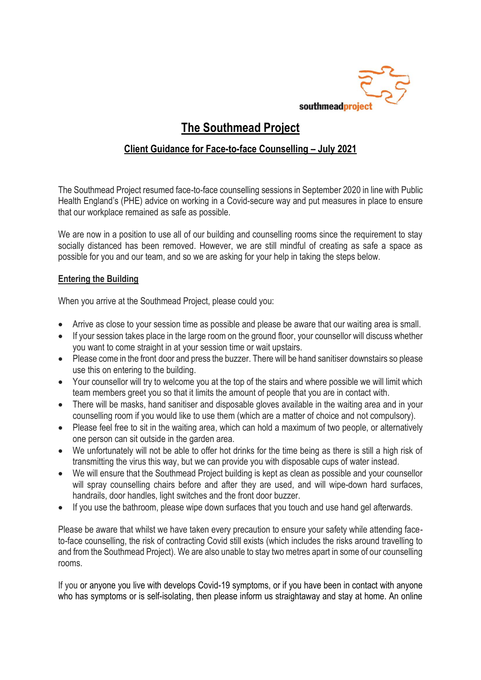

## **The Southmead Project**

## **Client Guidance for Face-to-face Counselling – July 2021**

The Southmead Project resumed face-to-face counselling sessions in September 2020 in line with Public Health England's (PHE) advice on working in a Covid-secure way and put measures in place to ensure that our workplace remained as safe as possible.

We are now in a position to use all of our building and counselling rooms since the requirement to stay socially distanced has been removed. However, we are still mindful of creating as safe a space as possible for you and our team, and so we are asking for your help in taking the steps below.

## **Entering the Building**

When you arrive at the Southmead Project, please could you:

- Arrive as close to your session time as possible and please be aware that our waiting area is small.
- If your session takes place in the large room on the ground floor, your counsellor will discuss whether you want to come straight in at your session time or wait upstairs.
- Please come in the front door and press the buzzer. There will be hand sanitiser downstairs so please use this on entering to the building.
- Your counsellor will try to welcome you at the top of the stairs and where possible we will limit which team members greet you so that it limits the amount of people that you are in contact with.
- There will be masks, hand sanitiser and disposable gloves available in the waiting area and in your counselling room if you would like to use them (which are a matter of choice and not compulsory).
- Please feel free to sit in the waiting area, which can hold a maximum of two people, or alternatively one person can sit outside in the garden area.
- We unfortunately will not be able to offer hot drinks for the time being as there is still a high risk of transmitting the virus this way, but we can provide you with disposable cups of water instead.
- We will ensure that the Southmead Project building is kept as clean as possible and your counsellor will spray counselling chairs before and after they are used, and will wipe-down hard surfaces, handrails, door handles, light switches and the front door buzzer.
- If you use the bathroom, please wipe down surfaces that you touch and use hand gel afterwards.

Please be aware that whilst we have taken every precaution to ensure your safety while attending faceto-face counselling, the risk of contracting Covid still exists (which includes the risks around travelling to and from the Southmead Project). We are also unable to stay two metres apart in some of our counselling rooms.

If you or anyone you live with develops Covid-19 symptoms, or if you have been in contact with anyone who has symptoms or is self-isolating, then please inform us straightaway and stay at home. An online